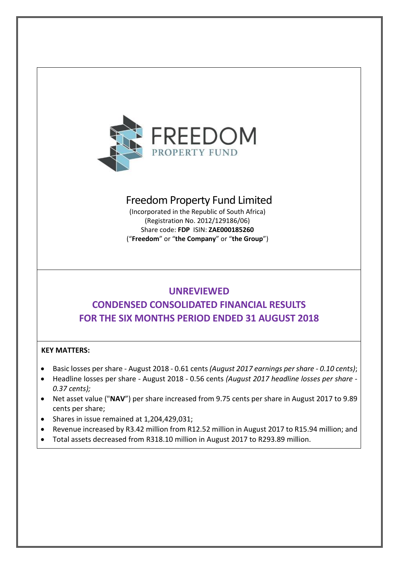

# Freedom Property Fund Limited

(Incorporated in the Republic of South Africa) (Registration No. 2012/129186/06) Share code: **FDP** ISIN: **ZAE000185260** ("**Freedom**" or "**the Company**" or "**the Group**")

# **UNREVIEWED**

# **CONDENSED CONSOLIDATED FINANCIAL RESULTS FOR THE SIX MONTHS PERIOD ENDED 31 AUGUST 2018**

# **KEY MATTERS:**

- Basic losses per share August 2018 0.61 cents *(August 2017 earnings per share - 0.10 cents)*;
- Headline losses per share August 2018 0.56 cents *(August 2017 headline losses per share - 0.37 cents);*
- Net asset value ("**NAV**") per share increased from 9.75 cents per share in August 2017 to 9.89 cents per share;
- Shares in issue remained at 1,204,429,031;
- Revenue increased by R3.42 million from R12.52 million in August 2017 to R15.94 million; and
- Total assets decreased from R318.10 million in August 2017 to R293.89 million.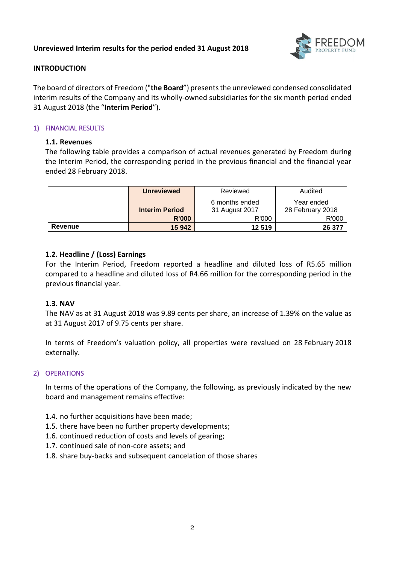

# **INTRODUCTION**

The board of directors of Freedom ("**the Board**") presentsthe unreviewed condensed consolidated interim results of the Company and its wholly-owned subsidiaries for the six month period ended 31 August 2018 (the "**Interim Period**").

## 1) FINANCIAL RESULTS

## **1.1. Revenues**

The following table provides a comparison of actual revenues generated by Freedom during the Interim Period, the corresponding period in the previous financial and the financial year ended 28 February 2018.

|         | <b>Unreviewed</b>     | Reviewed       | Audited          |  |  |
|---------|-----------------------|----------------|------------------|--|--|
|         |                       | 6 months ended | Year ended       |  |  |
|         | <b>Interim Period</b> | 31 August 2017 | 28 February 2018 |  |  |
|         | <b>R'000</b>          | R'000          | R'000            |  |  |
| Revenue | 15 942                | 12 519         | 26 377           |  |  |

# **1.2. Headline / (Loss) Earnings**

For the Interim Period, Freedom reported a headline and diluted loss of R5.65 million compared to a headline and diluted loss of R4.66 million for the corresponding period in the previous financial year.

# **1.3. NAV**

The NAV as at 31 August 2018 was 9.89 cents per share, an increase of 1.39% on the value as at 31 August 2017 of 9.75 cents per share.

In terms of Freedom's valuation policy, all properties were revalued on 28 February 2018 externally.

#### 2) OPERATIONS

In terms of the operations of the Company, the following, as previously indicated by the new board and management remains effective:

- 1.4. no further acquisitions have been made;
- 1.5. there have been no further property developments;
- 1.6. continued reduction of costs and levels of gearing;
- 1.7. continued sale of non-core assets; and
- 1.8. share buy-backs and subsequent cancelation of those shares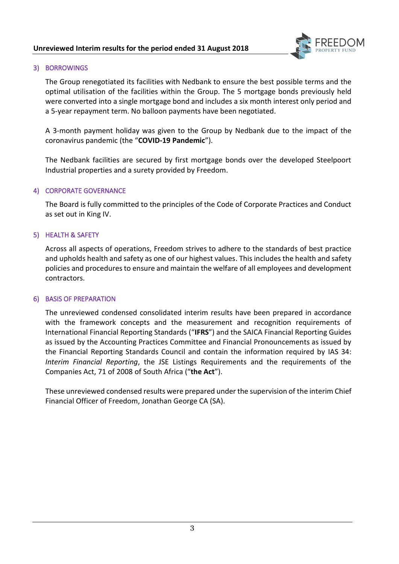

# 3) BORROWINGS

The Group renegotiated its facilities with Nedbank to ensure the best possible terms and the optimal utilisation of the facilities within the Group. The 5 mortgage bonds previously held were converted into a single mortgage bond and includes a six month interest only period and a 5-year repayment term. No balloon payments have been negotiated.

A 3-month payment holiday was given to the Group by Nedbank due to the impact of the coronavirus pandemic (the "**COVID-19 Pandemic**").

The Nedbank facilities are secured by first mortgage bonds over the developed Steelpoort Industrial properties and a surety provided by Freedom.

## 4) CORPORATE GOVERNANCE

The Board is fully committed to the principles of the Code of Corporate Practices and Conduct as set out in King IV.

## 5) HEALTH & SAFETY

Across all aspects of operations, Freedom strives to adhere to the standards of best practice and upholds health and safety as one of our highest values. This includes the health and safety policies and procedures to ensure and maintain the welfare of all employees and development contractors.

#### 6) BASIS OF PREPARATION

The unreviewed condensed consolidated interim results have been prepared in accordance with the framework concepts and the measurement and recognition requirements of International Financial Reporting Standards ("**IFRS**") and the SAICA Financial Reporting Guides as issued by the Accounting Practices Committee and Financial Pronouncements as issued by the Financial Reporting Standards Council and contain the information required by IAS 34: *Interim Financial Reporting*, the JSE Listings Requirements and the requirements of the Companies Act, 71 of 2008 of South Africa ("**the Act**").

These unreviewed condensed results were prepared under the supervision of the interim Chief Financial Officer of Freedom, Jonathan George CA (SA).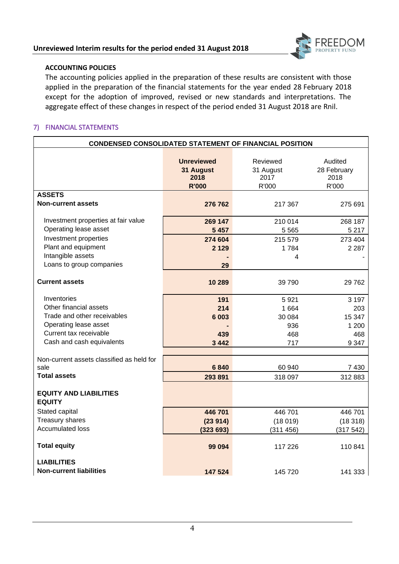

# **ACCOUNTING POLICIES**

The accounting policies applied in the preparation of these results are consistent with those applied in the preparation of the financial statements for the year ended 28 February 2018 except for the adoption of improved, revised or new standards and interpretations. The aggregate effect of these changes in respect of the period ended 31 August 2018 are Rnil.

# 7) FINANCIAL STATEMENTS

| <b>CONDENSED CONSOLIDATED STATEMENT OF FINANCIAL POSITION</b> |                                                        |                                        |                                         |  |  |  |  |  |
|---------------------------------------------------------------|--------------------------------------------------------|----------------------------------------|-----------------------------------------|--|--|--|--|--|
|                                                               | <b>Unreviewed</b><br>31 August<br>2018<br><b>R'000</b> | Reviewed<br>31 August<br>2017<br>R'000 | Audited<br>28 February<br>2018<br>R'000 |  |  |  |  |  |
| <b>ASSETS</b>                                                 |                                                        |                                        |                                         |  |  |  |  |  |
| <b>Non-current assets</b>                                     | 276 762                                                | 217 367                                | 275 691                                 |  |  |  |  |  |
| Investment properties at fair value                           | 269 147                                                | 210 014                                | 268 187                                 |  |  |  |  |  |
| Operating lease asset                                         | 5 4 5 7                                                | 5 5 6 5                                | 5 2 1 7                                 |  |  |  |  |  |
| Investment properties                                         | 274 604                                                | 215 579                                | 273 404                                 |  |  |  |  |  |
| Plant and equipment                                           | 2 1 2 9                                                | 1784                                   | 2 2 8 7                                 |  |  |  |  |  |
| Intangible assets                                             |                                                        | 4                                      |                                         |  |  |  |  |  |
| Loans to group companies                                      | 29                                                     |                                        |                                         |  |  |  |  |  |
| <b>Current assets</b>                                         | 10 289                                                 | 39 790                                 | 29762                                   |  |  |  |  |  |
| Inventories                                                   | 191                                                    | 5921                                   | 3 1 9 7                                 |  |  |  |  |  |
| Other financial assets                                        | 214                                                    | 1 6 6 4                                | 203                                     |  |  |  |  |  |
| Trade and other receivables                                   | 6 0 0 3                                                | 30 084                                 | 15 347                                  |  |  |  |  |  |
| Operating lease asset                                         |                                                        | 936                                    | 1 200                                   |  |  |  |  |  |
| Current tax receivable                                        | 439                                                    | 468                                    | 468                                     |  |  |  |  |  |
| Cash and cash equivalents                                     | 3 4 4 2                                                | 717                                    | 9 3 4 7                                 |  |  |  |  |  |
|                                                               |                                                        |                                        |                                         |  |  |  |  |  |
| Non-current assets classified as held for                     |                                                        |                                        |                                         |  |  |  |  |  |
| sale                                                          | 6840                                                   | 60 940                                 | 7 4 3 0                                 |  |  |  |  |  |
| <b>Total assets</b>                                           | 293 891                                                | 318 097                                | 312 883                                 |  |  |  |  |  |
| <b>EQUITY AND LIABILITIES</b><br><b>EQUITY</b>                |                                                        |                                        |                                         |  |  |  |  |  |
| Stated capital                                                | 446701                                                 | 446701                                 | 446 701                                 |  |  |  |  |  |
| Treasury shares                                               | (23914)                                                | (18019)                                | (18318)                                 |  |  |  |  |  |
| <b>Accumulated loss</b>                                       | (323693)                                               | (311 456)                              | (317542)                                |  |  |  |  |  |
| <b>Total equity</b>                                           | 99 094                                                 | 117 226                                | 110841                                  |  |  |  |  |  |
| <b>LIABILITIES</b>                                            |                                                        |                                        |                                         |  |  |  |  |  |
| <b>Non-current liabilities</b>                                | 147 524                                                | 145 720                                | 141 333                                 |  |  |  |  |  |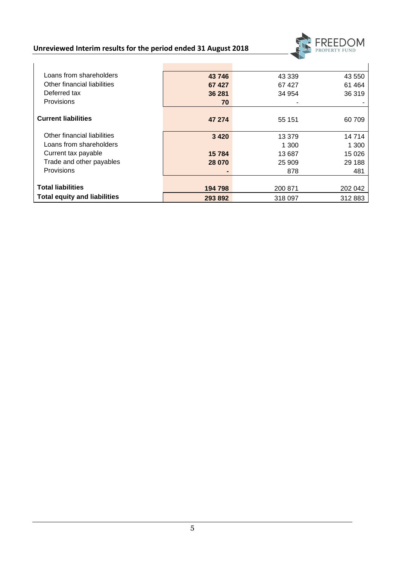

| Loans from shareholders             | 43 746  | 43 339  | 43 550  |
|-------------------------------------|---------|---------|---------|
| Other financial liabilities         | 67 427  | 67427   | 61 4 64 |
| Deferred tax                        | 36 281  | 34 954  | 36 319  |
| Provisions                          | 70      |         |         |
|                                     |         |         |         |
| <b>Current liabilities</b>          | 47 274  | 55 151  | 60709   |
| Other financial liabilities         | 3 4 2 0 | 13 379  | 14714   |
| Loans from shareholders             |         | 1 300   | 1 300   |
| Current tax payable                 | 15784   | 13 687  | 15 0 26 |
| Trade and other payables            | 28 070  | 25 909  | 29 188  |
| Provisions                          |         | 878     | 481     |
|                                     |         |         |         |
| <b>Total liabilities</b>            | 194 798 | 200 871 | 202 042 |
| <b>Total equity and liabilities</b> | 293 892 | 318 097 | 312883  |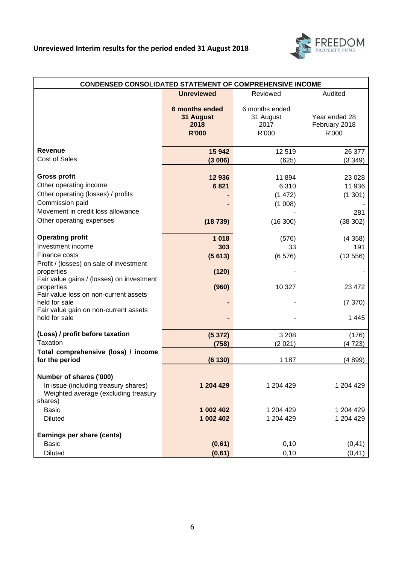

| <b>CONDENSED CONSOLIDATED STATEMENT OF COMPREHENSIVE INCOME</b>                                                                                                                                                                                                                                                                          |                                                     |                                              |                                                                |  |  |  |  |  |
|------------------------------------------------------------------------------------------------------------------------------------------------------------------------------------------------------------------------------------------------------------------------------------------------------------------------------------------|-----------------------------------------------------|----------------------------------------------|----------------------------------------------------------------|--|--|--|--|--|
|                                                                                                                                                                                                                                                                                                                                          | <b>Unreviewed</b>                                   | Reviewed                                     | Audited                                                        |  |  |  |  |  |
|                                                                                                                                                                                                                                                                                                                                          | 6 months ended<br>31 August<br>2018<br><b>R'000</b> | 6 months ended<br>31 August<br>2017<br>R'000 | Year ended 28<br>February 2018<br>R'000                        |  |  |  |  |  |
| <b>Revenue</b>                                                                                                                                                                                                                                                                                                                           | 15 942                                              | 12519                                        | 26 377                                                         |  |  |  |  |  |
| <b>Cost of Sales</b>                                                                                                                                                                                                                                                                                                                     | (3006)                                              | (625)                                        | (3349)                                                         |  |  |  |  |  |
| <b>Gross profit</b><br>Other operating income<br>Other operating (losses) / profits<br>Commission paid<br>Movement in credit loss allowance                                                                                                                                                                                              | 12936<br>6821                                       | 11894<br>6310<br>(1 472)<br>(1 008)          | 23 0 28<br>11 936<br>(1301)<br>281                             |  |  |  |  |  |
| Other operating expenses                                                                                                                                                                                                                                                                                                                 | (18739)                                             | (16300)                                      | (38 302)                                                       |  |  |  |  |  |
| <b>Operating profit</b><br>Investment income<br>Finance costs<br>Profit / (losses) on sale of investment<br>properties<br>Fair value gains / (losses) on investment<br>properties<br>Fair value loss on non-current assets<br>held for sale<br>Fair value gain on non-current assets<br>held for sale<br>(Loss) / profit before taxation | 1 0 18<br>303<br>(5613)<br>(120)<br>(960)<br>(5372) | (576)<br>33<br>(6576)<br>10 327<br>3 2 0 8   | (4358)<br>191<br>(13556)<br>23 472<br>(7 370)<br>1445<br>(176) |  |  |  |  |  |
| Taxation                                                                                                                                                                                                                                                                                                                                 | (758)                                               | (2021)                                       | (4723)                                                         |  |  |  |  |  |
| Total comprehensive (loss) / income<br>for the period                                                                                                                                                                                                                                                                                    | (6130)                                              | 1 1 8 7                                      | (4899)                                                         |  |  |  |  |  |
| Number of shares ('000)<br>In issue (including treasury shares)<br>Weighted average (excluding treasury<br>shares)<br><b>Basic</b>                                                                                                                                                                                                       | 1 204 429<br>1 002 402                              | 1 204 429<br>1 204 429                       | 1 204 429<br>1 204 429                                         |  |  |  |  |  |
| <b>Diluted</b><br>Earnings per share (cents)<br><b>Basic</b><br><b>Diluted</b>                                                                                                                                                                                                                                                           | 1 002 402<br>(0,61)<br>(0,61)                       | 1 204 429<br>0,10<br>0, 10                   | 1 204 429<br>(0, 41)<br>(0, 41)                                |  |  |  |  |  |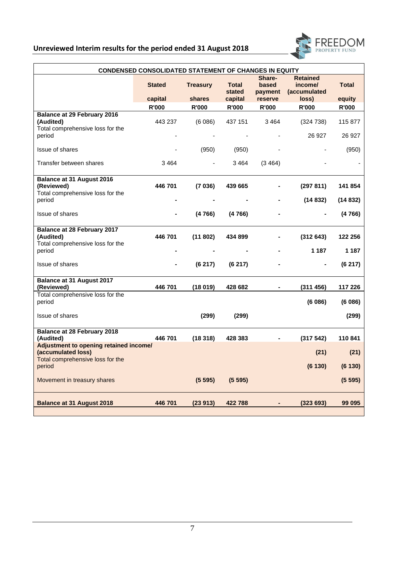

| <b>CONDENSED CONSOLIDATED STATEMENT OF CHANGES IN EQUITY</b>                        |               |                 |                        |                            |                                            |              |  |  |  |
|-------------------------------------------------------------------------------------|---------------|-----------------|------------------------|----------------------------|--------------------------------------------|--------------|--|--|--|
|                                                                                     | <b>Stated</b> | <b>Treasury</b> | <b>Total</b><br>stated | Share-<br>based<br>payment | <b>Retained</b><br>income/<br>(accumulated | <b>Total</b> |  |  |  |
|                                                                                     | capital       | shares          | capital                | reserve                    | loss)                                      | equity       |  |  |  |
|                                                                                     | <b>R'000</b>  | <b>R'000</b>    | <b>R'000</b>           | R'000                      | R'000                                      | <b>R'000</b> |  |  |  |
| <b>Balance at 29 February 2016</b><br>(Audited)<br>Total comprehensive loss for the | 443 237       | (6086)          | 437 151                | 3464                       | (324 738)                                  | 115 877      |  |  |  |
| period                                                                              |               |                 |                        |                            | 26 927                                     | 26 927       |  |  |  |
| Issue of shares                                                                     |               | (950)           | (950)                  |                            |                                            | (950)        |  |  |  |
| Transfer between shares                                                             | 3 4 6 4       |                 | 3464                   | (3464)                     |                                            |              |  |  |  |
| Balance at 31 August 2016<br>(Reviewed)                                             | 446 701       | (7036)          | 439 665                |                            | (297 811)                                  | 141 854      |  |  |  |
| Total comprehensive loss for the<br>period                                          |               |                 |                        |                            | (14832)                                    | (14832)      |  |  |  |
| Issue of shares                                                                     |               | (4766)          | (4766)                 |                            |                                            | (4766)       |  |  |  |
| <b>Balance at 28 February 2017</b>                                                  |               |                 |                        |                            |                                            |              |  |  |  |
| (Audited)                                                                           | 446 701       | (11802)         | 434 899                |                            | (312643)                                   | 122 256      |  |  |  |
| Total comprehensive loss for the<br>period                                          |               |                 |                        |                            | 1 187                                      | 1 1 8 7      |  |  |  |
| Issue of shares                                                                     |               | (6217)          | (6217)                 |                            | $\blacksquare$                             | (6217)       |  |  |  |
| Balance at 31 August 2017                                                           |               |                 |                        |                            |                                            |              |  |  |  |
| (Reviewed)                                                                          | 446 701       | (18019)         | 428 682                |                            | (311 456)                                  | 117 226      |  |  |  |
| Total comprehensive loss for the<br>period                                          |               |                 |                        |                            | (6086)                                     | (6086)       |  |  |  |
| Issue of shares                                                                     |               | (299)           | (299)                  |                            |                                            | (299)        |  |  |  |
| <b>Balance at 28 February 2018</b><br>(Audited)                                     | 446 701       | (18318)         | 428 383                |                            | (317542)                                   | 110841       |  |  |  |
| Adjustment to opening retained income/<br>(accumulated loss)                        |               |                 |                        |                            | (21)                                       | (21)         |  |  |  |
| Total comprehensive loss for the<br>period                                          |               |                 |                        |                            | (6130)                                     | (6130)       |  |  |  |
| Movement in treasury shares                                                         |               | (5595)          | (5595)                 |                            |                                            | (5595)       |  |  |  |
| <b>Balance at 31 August 2018</b>                                                    | 446 701       | (23913)         | 422788                 |                            | (323693)                                   | 99 095       |  |  |  |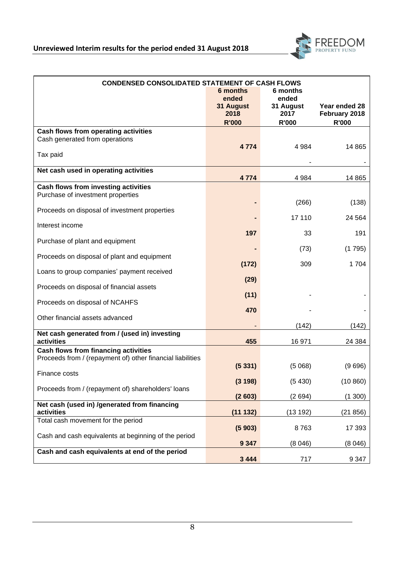

| <b>CONDENSED CONSOLIDATED STATEMENT OF CASH FLOWS</b><br>6 months<br>6 months                             |                                            |                                            |                                                |  |  |  |  |
|-----------------------------------------------------------------------------------------------------------|--------------------------------------------|--------------------------------------------|------------------------------------------------|--|--|--|--|
|                                                                                                           | ended<br>31 August<br>2018<br><b>R'000</b> | ended<br>31 August<br>2017<br><b>R'000</b> | Year ended 28<br>February 2018<br><b>R'000</b> |  |  |  |  |
| Cash flows from operating activities<br>Cash generated from operations                                    | 4 7 7 4                                    | 4 9 8 4                                    | 14 8 65                                        |  |  |  |  |
| Tax paid                                                                                                  |                                            |                                            |                                                |  |  |  |  |
| Net cash used in operating activities                                                                     | 4774                                       | 4 9 8 4                                    | 14 8 65                                        |  |  |  |  |
| Cash flows from investing activities                                                                      |                                            |                                            |                                                |  |  |  |  |
| Purchase of investment properties                                                                         |                                            | (266)                                      | (138)                                          |  |  |  |  |
| Proceeds on disposal of investment properties                                                             |                                            | 17 110                                     | 24 5 64                                        |  |  |  |  |
| Interest income                                                                                           |                                            |                                            |                                                |  |  |  |  |
| Purchase of plant and equipment                                                                           | 197                                        | 33                                         | 191                                            |  |  |  |  |
| Proceeds on disposal of plant and equipment                                                               |                                            | (73)                                       | (1795)                                         |  |  |  |  |
| Loans to group companies' payment received                                                                | (172)                                      | 309                                        | 1704                                           |  |  |  |  |
| Proceeds on disposal of financial assets                                                                  | (29)                                       |                                            |                                                |  |  |  |  |
| Proceeds on disposal of NCAHFS                                                                            | (11)                                       |                                            |                                                |  |  |  |  |
| Other financial assets advanced                                                                           | 470                                        |                                            |                                                |  |  |  |  |
| Net cash generated from / (used in) investing                                                             |                                            | (142)                                      | (142)                                          |  |  |  |  |
| activities                                                                                                | 455                                        | 16 971                                     | 24 384                                         |  |  |  |  |
| <b>Cash flows from financing activities</b><br>Proceeds from / (repayment of) other financial liabilities |                                            |                                            |                                                |  |  |  |  |
|                                                                                                           | (5331)                                     | (5068)                                     | (9696)                                         |  |  |  |  |
| Finance costs                                                                                             | (3198)                                     | (5430)                                     | (10 860)                                       |  |  |  |  |
| Proceeds from / (repayment of) shareholders' loans                                                        | (2603)                                     | (2694)                                     | (1300)                                         |  |  |  |  |
| Net cash (used in) /generated from financing<br>activities                                                | (11132)                                    | (13192)                                    | (21856)                                        |  |  |  |  |
| Total cash movement for the period                                                                        | (5903)                                     | 8763                                       | 17 393                                         |  |  |  |  |
| Cash and cash equivalents at beginning of the period                                                      |                                            | (8046)                                     |                                                |  |  |  |  |
| Cash and cash equivalents at end of the period                                                            | 9 3 4 7                                    |                                            | (8046)                                         |  |  |  |  |
|                                                                                                           | 3 4 4 4                                    | 717                                        | 9 3 4 7                                        |  |  |  |  |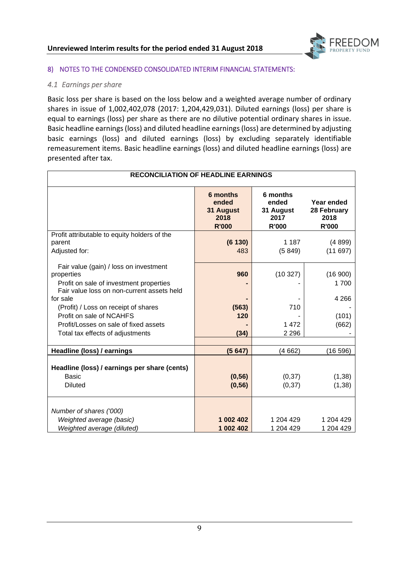

# 8) NOTES TO THE CONDENSED CONSOLIDATED INTERIM FINANCIAL STATEMENTS:

# *4.1 Earnings per share*

Basic loss per share is based on the loss below and a weighted average number of ordinary shares in issue of 1,002,402,078 (2017: 1,204,429,031). Diluted earnings (loss) per share is equal to earnings (loss) per share as there are no dilutive potential ordinary shares in issue. Basic headline earnings (loss) and diluted headline earnings (loss) are determined by adjusting basic earnings (loss) and diluted earnings (loss) by excluding separately identifiable remeasurement items. Basic headline earnings (loss) and diluted headline earnings (loss) are presented after tax.

| <b>RECONCILIATION OF HEADLINE EARNINGS</b>                                                                                                                |                                                        |                                                        |                                            |
|-----------------------------------------------------------------------------------------------------------------------------------------------------------|--------------------------------------------------------|--------------------------------------------------------|--------------------------------------------|
|                                                                                                                                                           | 6 months<br>ended<br>31 August<br>2018<br><b>R'000</b> | 6 months<br>ended<br>31 August<br>2017<br><b>R'000</b> | Year ended<br>28 February<br>2018<br>R'000 |
| Profit attributable to equity holders of the<br>parent<br>Adjusted for:                                                                                   | (6130)<br>483                                          | 1 1 8 7<br>(5849)                                      | (4899)<br>(11697)                          |
| Fair value (gain) / loss on investment<br>properties<br>Profit on sale of investment properties<br>Fair value loss on non-current assets held<br>for sale | 960                                                    | (10327)                                                | (16900)<br>1700<br>4 2 6 6                 |
| (Profit) / Loss on receipt of shares<br>Profit on sale of NCAHFS<br>Profit/Losses on sale of fixed assets<br>Total tax effects of adjustments             | (563)<br>120<br>(34)                                   | 710<br>1472<br>2 2 9 6                                 | (101)<br>(662)                             |
| Headline (loss) / earnings                                                                                                                                | (5647)                                                 | (4662)                                                 | (16596)                                    |
| Headline (loss) / earnings per share (cents)<br><b>Basic</b><br><b>Diluted</b>                                                                            | (0, 56)<br>(0, 56)                                     | (0, 37)<br>(0, 37)                                     | (1, 38)<br>(1, 38)                         |
| Number of shares ('000)<br>Weighted average (basic)<br>Weighted average (diluted)                                                                         | 1 002 402<br>1 002 402                                 | 1 204 429<br>1 204 429                                 | 1 204 429<br>1 204 429                     |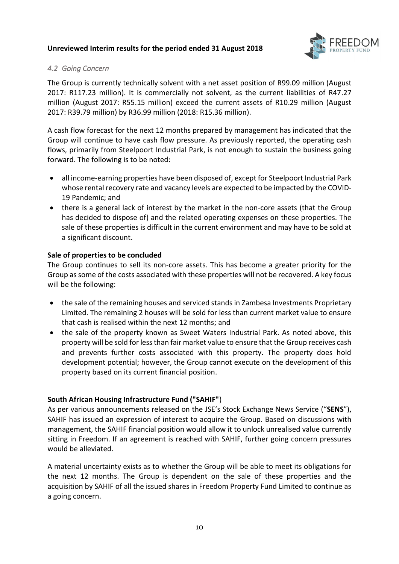

# *4.2 Going Concern*

The Group is currently technically solvent with a net asset position of R99.09 million (August 2017: R117.23 million). It is commercially not solvent, as the current liabilities of R47.27 million (August 2017: R55.15 million) exceed the current assets of R10.29 million (August 2017: R39.79 million) by R36.99 million (2018: R15.36 million).

A cash flow forecast for the next 12 months prepared by management has indicated that the Group will continue to have cash flow pressure. As previously reported, the operating cash flows, primarily from Steelpoort Industrial Park, is not enough to sustain the business going forward. The following is to be noted:

- all income-earning properties have been disposed of, except for Steelpoort Industrial Park whose rental recovery rate and vacancy levels are expected to be impacted by the COVID-19 Pandemic; and
- there is a general lack of interest by the market in the non-core assets (that the Group has decided to dispose of) and the related operating expenses on these properties. The sale of these properties is difficult in the current environment and may have to be sold at a significant discount.

# **Sale of properties to be concluded**

The Group continues to sell its non-core assets. This has become a greater priority for the Group as some of the costs associated with these properties will not be recovered. A key focus will be the following:

- the sale of the remaining houses and serviced stands in Zambesa Investments Proprietary Limited. The remaining 2 houses will be sold for less than current market value to ensure that cash is realised within the next 12 months; and
- the sale of the property known as Sweet Waters Industrial Park. As noted above, this property will be sold for less than fair market value to ensure that the Group receives cash and prevents further costs associated with this property. The property does hold development potential; however, the Group cannot execute on the development of this property based on its current financial position.

# **South African Housing Infrastructure Fund ("SAHIF"**)

As per various announcements released on the JSE's Stock Exchange News Service ("**SENS**"), SAHIF has issued an expression of interest to acquire the Group. Based on discussions with management, the SAHIF financial position would allow it to unlock unrealised value currently sitting in Freedom. If an agreement is reached with SAHIF, further going concern pressures would be alleviated.

A material uncertainty exists as to whether the Group will be able to meet its obligations for the next 12 months. The Group is dependent on the sale of these properties and the acquisition by SAHIF of all the issued shares in Freedom Property Fund Limited to continue as a going concern.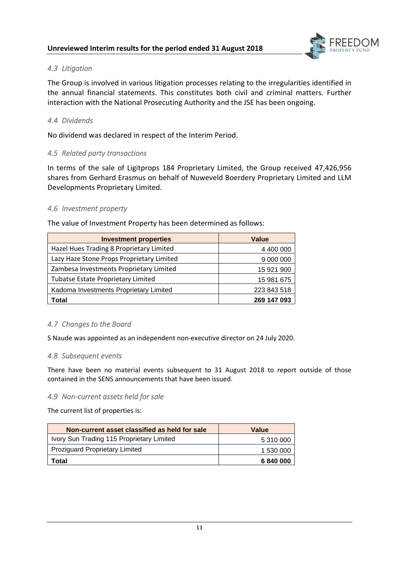

# *4.3 Litigation*

The Group is involved in various litigation processes relating to the irregularities identified in the annual financial statements. This constitutes both civil and criminal matters. Further interaction with the National Prosecuting Authority and the JSE has been ongoing.

# *4.4 Dividends*

No dividend was declared in respect of the Interim Period.

## *4.5 Related party transactions*

In terms of the sale of Ligitprops 184 Proprietary Limited, the Group received 47,426,956 shares from Gerhard Erasmus on behalf of Nuweveld Boerdery Proprietary Limited and LLM Developments Proprietary Limited.

## *4.6 Investment property*

| <b>Investment properties</b>              | Value       |
|-------------------------------------------|-------------|
| Hazel Hues Trading 8 Proprietary Limited  | 4 400 000   |
| Lazy Haze Stone Props Proprietary Limited | 9 000 000   |
| Zambesa Investments Proprietary Limited   | 15 921 900  |
| <b>Tubatse Estate Proprietary Limited</b> | 15 981 675  |
| Kadoma Investments Proprietary Limited    | 223 843 518 |
| Total                                     | 269 147 093 |

The value of Investment Property has been determined as follows:

# *4.7 Changes to the Board*

S Naude was appointed as an independent non-executive director on 24 July 2020.

#### *4.8 Subsequent events*

There have been no material events subsequent to 31 August 2018 to report outside of those contained in the SENS announcements that have been issued.

#### *4.9 Non-current assets held for sale*

The current list of properties is:

| Non-current asset classified as held for sale | Value     |
|-----------------------------------------------|-----------|
| Ivory Sun Trading 115 Proprietary Limited     | 5 310 000 |
| <b>Proziguard Proprietary Limited</b>         | 1 530 000 |
| Total                                         | 6840000   |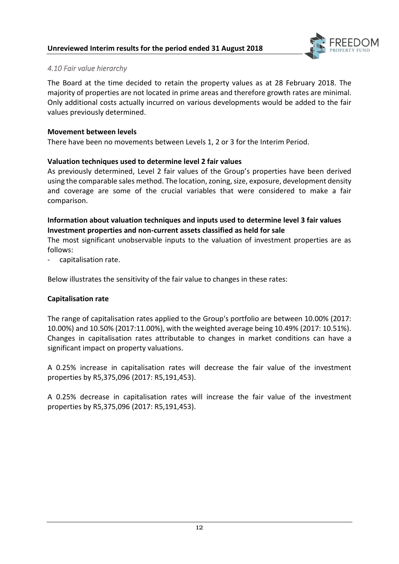

# *4.10 Fair value hierarchy*

The Board at the time decided to retain the property values as at 28 February 2018. The majority of properties are not located in prime areas and therefore growth rates are minimal. Only additional costs actually incurred on various developments would be added to the fair values previously determined.

#### **Movement between levels**

There have been no movements between Levels 1, 2 or 3 for the Interim Period.

## **Valuation techniques used to determine level 2 fair values**

As previously determined, Level 2 fair values of the Group's properties have been derived using the comparable sales method. The location, zoning, size, exposure, development density and coverage are some of the crucial variables that were considered to make a fair comparison.

# **Information about valuation techniques and inputs used to determine level 3 fair values Investment properties and non-current assets classified as held for sale**

The most significant unobservable inputs to the valuation of investment properties are as follows:

capitalisation rate.

Below illustrates the sensitivity of the fair value to changes in these rates:

#### **Capitalisation rate**

The range of capitalisation rates applied to the Group's portfolio are between 10.00% (2017: 10.00%) and 10.50% (2017:11.00%), with the weighted average being 10.49% (2017: 10.51%). Changes in capitalisation rates attributable to changes in market conditions can have a significant impact on property valuations.

A 0.25% increase in capitalisation rates will decrease the fair value of the investment properties by R5,375,096 (2017: R5,191,453).

A 0.25% decrease in capitalisation rates will increase the fair value of the investment properties by R5,375,096 (2017: R5,191,453).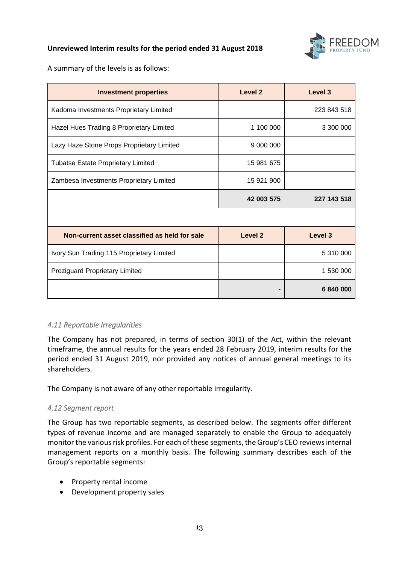

A summary of the levels is as follows:

| <b>Investment properties</b>                  | Level 2    | Level <sub>3</sub> |
|-----------------------------------------------|------------|--------------------|
| Kadoma Investments Proprietary Limited        |            | 223 843 518        |
| Hazel Hues Trading 8 Proprietary Limited      | 1 100 000  | 3 300 000          |
| Lazy Haze Stone Props Proprietary Limited     | 9 000 000  |                    |
| <b>Tubatse Estate Proprietary Limited</b>     | 15 981 675 |                    |
| Zambesa Investments Proprietary Limited       | 15 921 900 |                    |
|                                               | 42 003 575 | 227 143 518        |
|                                               |            |                    |
| Non-current asset classified as held for sale | Level 2    | Level 3            |
| Ivory Sun Trading 115 Proprietary Limited     |            | 5 310 000          |
| Proziguard Proprietary Limited                |            | 1 530 000          |
|                                               |            | 6840000            |

# *4.11 Reportable Irregularities*

The Company has not prepared, in terms of section 30(1) of the Act, within the relevant timeframe, the annual results for the years ended 28 February 2019, interim results for the period ended 31 August 2019, nor provided any notices of annual general meetings to its shareholders.

The Company is not aware of any other reportable irregularity.

# *4.12 Segment report*

The Group has two reportable segments, as described below. The segments offer different types of revenue income and are managed separately to enable the Group to adequately monitor the various risk profiles. For each of these segments, the Group's CEO reviews internal management reports on a monthly basis. The following summary describes each of the Group's reportable segments:

- Property rental income
- Development property sales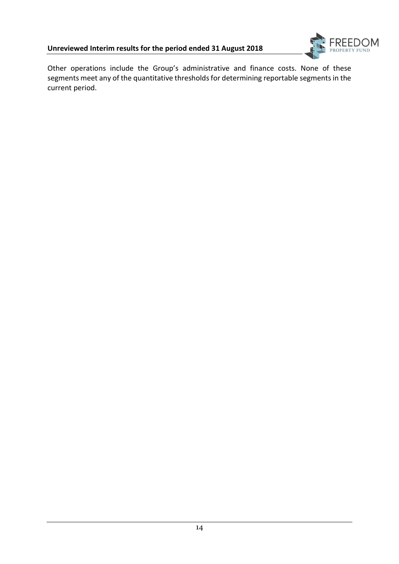

Other operations include the Group's administrative and finance costs. None of these segments meet any of the quantitative thresholds for determining reportable segments in the current period.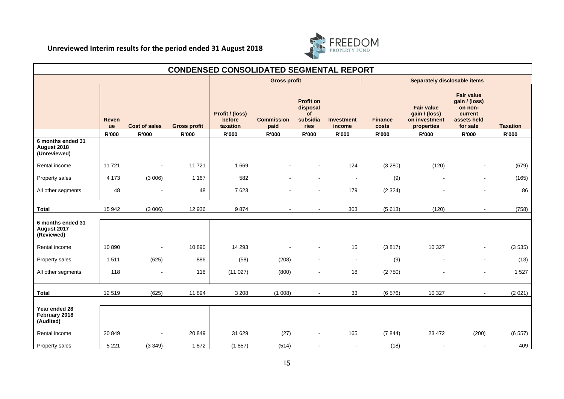

| <b>CONDENSED CONSOLIDATED SEGMENTAL REPORT</b>   |                    |                      |                     |                                       |                           |                                                               |                             |                                     |                                                                   |                                                                                     |                 |
|--------------------------------------------------|--------------------|----------------------|---------------------|---------------------------------------|---------------------------|---------------------------------------------------------------|-----------------------------|-------------------------------------|-------------------------------------------------------------------|-------------------------------------------------------------------------------------|-----------------|
|                                                  |                    |                      |                     | <b>Gross profit</b>                   |                           |                                                               |                             | <b>Separately disclosable items</b> |                                                                   |                                                                                     |                 |
|                                                  | <b>Reven</b><br>ue | <b>Cost of sales</b> | <b>Gross profit</b> | Profit / (loss)<br>before<br>taxation | <b>Commission</b><br>paid | <b>Profit on</b><br>disposal<br><b>of</b><br>subsidia<br>ries | <b>Investment</b><br>income | <b>Finance</b><br>costs             | <b>Fair value</b><br>gain / (loss)<br>on investment<br>properties | <b>Fair value</b><br>gain / (loss)<br>on non-<br>current<br>assets held<br>for sale | <b>Taxation</b> |
|                                                  | R'000              | <b>R'000</b>         | <b>R'000</b>        | R'000                                 | <b>R'000</b>              | R'000                                                         | <b>R'000</b>                | R'000                               | R'000                                                             | <b>R'000</b>                                                                        | <b>R'000</b>    |
| 6 months ended 31<br>August 2018<br>(Unreviewed) |                    |                      |                     |                                       |                           |                                                               |                             |                                     |                                                                   |                                                                                     |                 |
| Rental income                                    | 11 7 21            |                      | 11721               | 1669                                  |                           |                                                               | 124                         | (3 280)                             | (120)                                                             |                                                                                     | (679)           |
| Property sales                                   | 4 1 7 3            | (3006)               | 1 1 6 7             | 582                                   |                           |                                                               | $\blacksquare$              | (9)                                 |                                                                   |                                                                                     | (165)           |
| All other segments                               | 48                 |                      | 48                  | 7623                                  |                           |                                                               | 179                         | (2324)                              |                                                                   |                                                                                     | 86              |
| <b>Total</b>                                     | 15 942             | (3006)               | 12 936              | 9874                                  | $\overline{\phantom{a}}$  |                                                               | 303                         | (5613)                              | (120)                                                             | $\sim$                                                                              | (758)           |
| 6 months ended 31<br>August 2017<br>(Reviewed)   |                    |                      |                     |                                       |                           |                                                               |                             |                                     |                                                                   |                                                                                     |                 |
| Rental income                                    | 10 890             |                      | 10 890              | 14 29 3                               |                           |                                                               | 15                          | (3817)                              | 10 3 27                                                           |                                                                                     | (3535)          |
| Property sales                                   | 1511               | (625)                | 886                 | (58)                                  | (208)                     |                                                               | $\blacksquare$              | (9)                                 |                                                                   | $\overline{\phantom{a}}$                                                            | (13)            |
| All other segments                               | 118                |                      | 118                 | (11027)                               | (800)                     |                                                               | 18                          | (2750)                              |                                                                   |                                                                                     | 1527            |
| <b>Total</b>                                     | 12 519             | (625)                | 11 894              | 3 2 0 8                               | (1008)                    |                                                               | 33                          | (6576)                              | 10 327                                                            |                                                                                     | (2021)          |
| Year ended 28<br>February 2018<br>(Audited)      |                    |                      |                     |                                       |                           |                                                               |                             |                                     |                                                                   |                                                                                     |                 |
| Rental income                                    | 20 849             | $\blacksquare$       | 20 849              | 31 629                                | (27)                      |                                                               | 165                         | (7844)                              | 23 4 72                                                           | (200)                                                                               | (6557)          |
| Property sales                                   | 5 2 2 1            | (3349)               | 1872                | (1857)                                | (514)                     |                                                               | $\blacksquare$              | (18)                                |                                                                   |                                                                                     | 409             |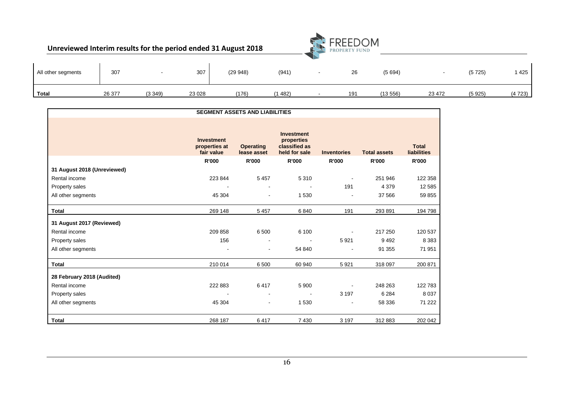| Unreviewed Interim results for the period ended 31 August 2018 |        |        |         |         |        |                          | <b>FREEDOM</b><br>PROPERTY FUND |         |        |        |        |
|----------------------------------------------------------------|--------|--------|---------|---------|--------|--------------------------|---------------------------------|---------|--------|--------|--------|
| All other segments                                             | 307    |        | 307     | (29948) | (941)  | $\overline{\phantom{a}}$ | 26                              | (5694)  |        | (5725) | 1425   |
| Total                                                          | 26 377 | (3349) | 23 0 28 | (176)   | (1482) |                          | 191                             | (13556) | 23 472 | (5925) | (4723) |

|                             |                                                  | <b>SEGMENT ASSETS AND LIABILITIES</b> |                                                                   |                    |                     |                                    |
|-----------------------------|--------------------------------------------------|---------------------------------------|-------------------------------------------------------------------|--------------------|---------------------|------------------------------------|
|                             | <b>Investment</b><br>properties at<br>fair value | <b>Operating</b><br>lease asset       | <b>Investment</b><br>properties<br>classified as<br>held for sale | <b>Inventories</b> | <b>Total assets</b> | <b>Total</b><br><b>liabilities</b> |
|                             | R'000                                            | <b>R'000</b>                          | <b>R'000</b>                                                      | <b>R'000</b>       | R'000               | <b>R'000</b>                       |
| 31 August 2018 (Unreviewed) |                                                  |                                       |                                                                   |                    |                     |                                    |
| Rental income               | 223 844                                          | 5 4 5 7                               | 5 3 1 0                                                           |                    | 251 946             | 122 358                            |
| Property sales              |                                                  | $\blacksquare$                        |                                                                   | 191                | 4 3 7 9             | 12 5 8 5                           |
| All other segments          | 45 304                                           | $\blacksquare$                        | 1 5 3 0                                                           |                    | 37 566              | 59 855                             |
| <b>Total</b>                | 269 148                                          | 5 4 5 7                               | 6840                                                              | 191                | 293 891             | 194798                             |
| 31 August 2017 (Reviewed)   |                                                  |                                       |                                                                   |                    |                     |                                    |
| Rental income               | 209 858                                          | 6 500                                 | 6 100                                                             |                    | 217 250             | 120 537                            |
| Property sales              | 156                                              |                                       |                                                                   | 5921               | 9492                | 8 3 8 3                            |
| All other segments          |                                                  | $\blacksquare$                        | 54 840                                                            |                    | 91 355              | 71 951                             |
| <b>Total</b>                | 210 014                                          | 6 500                                 | 60 940                                                            | 5921               | 318 097             | 200 871                            |
| 28 February 2018 (Audited)  |                                                  |                                       |                                                                   |                    |                     |                                    |
| Rental income               | 222 883                                          | 6417                                  | 5 9 0 0                                                           |                    | 248 263             | 122783                             |
| Property sales              |                                                  | $\blacksquare$                        |                                                                   | 3 1 9 7            | 6 2 8 4             | 8 0 3 7                            |
| All other segments          | 45 304                                           | $\blacksquare$                        | 1 5 3 0                                                           |                    | 58 336              | 71 222                             |
| Total                       | 268 187                                          | 6417                                  | 7 4 3 0                                                           | 3 1 9 7            | 312 883             | 202 042                            |